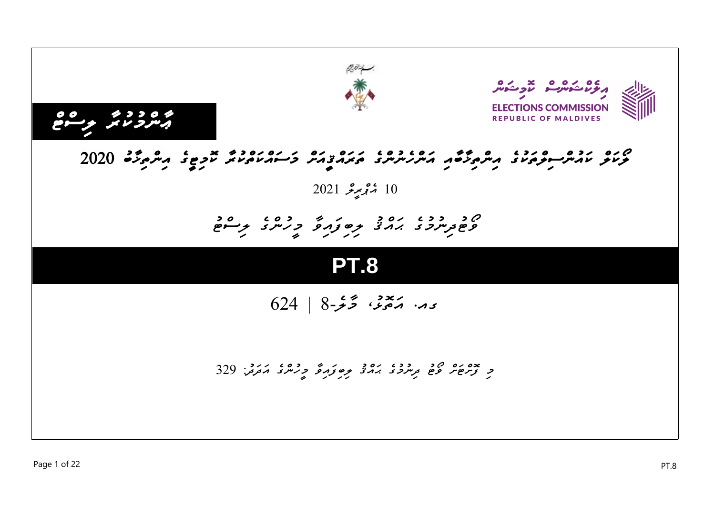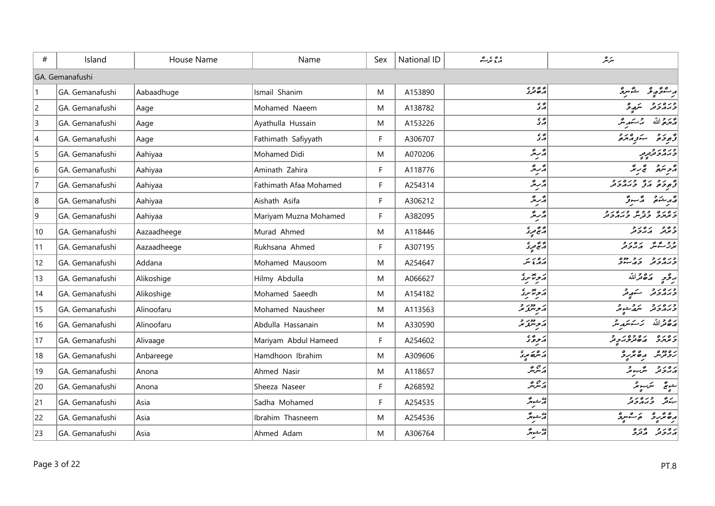| #              | Island          | House Name  | Name                   | Sex         | National ID | ، ه ، بر <u>م</u>          | ىئرىتر                                                              |
|----------------|-----------------|-------------|------------------------|-------------|-------------|----------------------------|---------------------------------------------------------------------|
|                | GA. Gemanafushi |             |                        |             |             |                            |                                                                     |
|                | GA. Gemanafushi | Aabaadhuge  | Ismail Shanim          | M           | A153890     | ږ د د ،<br>د ځ تر د        | برحوم ومؤيدها                                                       |
| $\overline{c}$ | GA. Gemanafushi | Aage        | Mohamed Naeem          | M           | A138782     | پو م<br>مرم                | ورەرو بررو                                                          |
| $\overline{3}$ | GA. Gemanafushi | Aage        | Ayathulla Hussain      | M           | A153226     | پر ج<br>مرگ                | مَ مَعْرَضٌ اللَّهُ مَنْ سَوَمِ مِّرْ                               |
| $\overline{4}$ | GA. Gemanafushi | Aage        | Fathimath Safiyyath    | F           | A306707     | پر ج<br>مرگ                | توجدة يتورمهم                                                       |
| 5              | GA. Gemanafushi | Aahiyaa     | Mohamed Didi           | M           | A070206     | وتربر                      | و ر ه ر و<br>د بر پر و ترتدید                                       |
| $\sqrt{6}$     | GA. Gemanafushi | Aahiyaa     | Aminath Zahira         | F           | A118776     | وٌر پڑ                     | أأروبتهم بمجربته                                                    |
| $\overline{7}$ | GA. Gemanafushi | Aahiyaa     | Fathimath Afaa Mohamed | $\mathsf F$ | A254314     | وحرير                      | و د د د دره د د                                                     |
| 8              | GA. Gemanafushi | Aahiyaa     | Aishath Asifa          | F           | A306212     | پر<br>مرسر                 | ە ئەستىم ئەسىر                                                      |
| 9              | GA. Gemanafushi | Aahiyaa     | Mariyam Muzna Mohamed  | F           | A382095     | ومريز                      | ر ه ر ه د و و د و ر و .<br><mark>د بربرد لی زن</mark> ر و بربر و تر |
| 10             | GA. Gemanafushi | Aazaadheege | Murad Ahmed            | M           | A118446     | پرځ ورئه<br>  پرځ ورئه     | و ده و ده در و                                                      |
| 11             | GA. Gemanafushi | Aazaadheege | Rukhsana Ahmed         | F           | A307195     | ا پرځ تېرنه<br>انرنځ تېرنه | وو شهر بره رو<br>برز شهر بربروتر                                    |
| 12             | GA. Gemanafushi | Addana      | Mohamed Mausoom        | M           | A254647     | ىرە بە ئىر                 | כנסנכ נכסים                                                         |
| 13             | GA. Gemanafushi | Alikoshige  | Hilmy Abdulla          | ${\sf M}$   | A066627     | ېز مورتوري<br>م            | أبرقرح أركافكم الله                                                 |
| 14             | GA. Gemanafushi | Alikoshige  | Mohamed Saeedh         | ${\sf M}$   | A154182     | ر په مورځ<br>              | ورەرو سەرو                                                          |
| 15             | GA. Gemanafushi | Alinoofaru  | Mohamed Nausheer       | ${\sf M}$   | A113563     | ړ په پېړنو تر              | وره رو سرو شومر                                                     |
| 16             | GA. Gemanafushi | Alinoofaru  | Abdulla Hassanain      | M           | A330590     | ە ئىر چوڭرىتى              | رە قراللە ئەسكىدىد                                                  |
| 17             | GA. Gemanafushi | Alivaage    | Mariyam Abdul Hameed   | F           | A254602     | تروځ تر                    | ر ه ر ه ر ه و ه ر چه د                                              |
| 18             | GA. Gemanafushi | Anbareege   | Hamdhoon Ibrahim       | M           | A309606     | ر صدر<br> د سرچ سرد        | رەددە مەھرىر                                                        |
| 19             | GA. Gemanafushi | Anona       | Ahmed Nasir            | M           | A118657     | برجويتر                    | رەرد شەر                                                            |
| 20             | GA. Gemanafushi | Anona       | Sheeza Naseer          | $\mathsf F$ | A268592     | برجويتر                    | أشوجٌ - مَرَسومٌرُ                                                  |
| 21             | GA. Gemanafushi | Asia        | Sadha Mohamed          | F           | A254535     | پژے پژ                     | بدو دره دو                                                          |
| 22             | GA. Gemanafushi | Asia        | Ibrahim Thasneem       | M           | A254536     | اند شودگر<br>              | ە ھەترىر <sup>ى</sup>                                               |
| 23             | GA. Gemanafushi | Asia        | Ahmed Adam             | M           | A306764     | ي<br>مر شەدىر              | بر ه بر د<br>مرگ                                                    |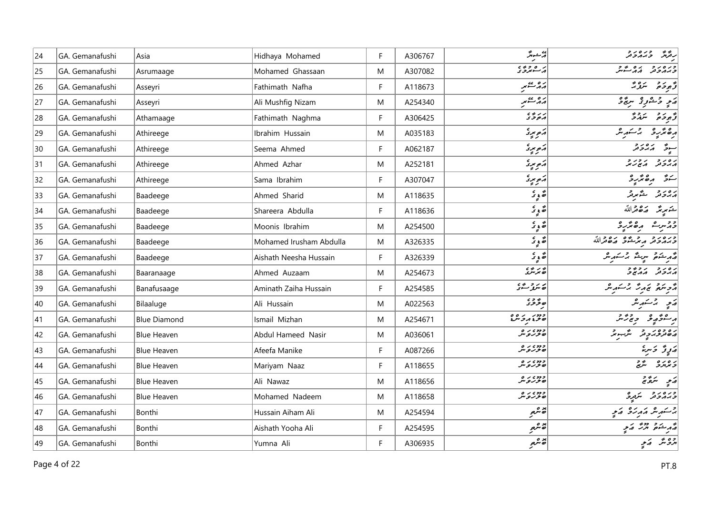| 24 | GA. Gemanafushi | Asia                | Hidhaya Mohamed         | F         | A306767 | ير<br>هر شەھر                                            | ر د دره در د                                                |
|----|-----------------|---------------------|-------------------------|-----------|---------|----------------------------------------------------------|-------------------------------------------------------------|
| 25 | GA. Gemanafushi | Asrumaage           | Mohamed Ghassaan        | M         | A307082 | ر ۱۵۶۵<br>مرسوبر <del>د</del> د                          | ورەرو برە ئەر                                               |
| 26 | GA. Gemanafushi | Asseyri             | Fathimath Nafha         | F         | A118673 | لئەرىئىمىر                                               | وَجِعَةٍ مَرْهِ مِ                                          |
| 27 | GA. Gemanafushi | Asseyri             | Ali Mushfig Nizam       | M         | A254340 | برە يىمر                                                 | ړَي دُڪرِوْ سِيُّو                                          |
| 28 | GA. Gemanafushi | Athamaage           | Fathimath Naghma        | F         | A306425 | د ر د د<br>  پره د د                                     | وٌ پر در پردو                                               |
| 29 | GA. Gemanafushi | Athireege           | Ibrahim Hussain         | M         | A035183 | رښته پرځ                                                 | رە ئەر ئەسىر ش                                              |
| 30 | GA. Gemanafushi | Athireege           | Seema Ahmed             | F         | A062187 | <br>  د حو مو د                                          | سرق اردونه                                                  |
| 31 | GA. Gemanafushi | Athireege           | Ahmed Azhar             | ${\sf M}$ | A252181 | ر<br>د هو مو د                                           | גם גם גבריב                                                 |
| 32 | GA. Gemanafushi | Athireege           | Sama Ibrahim            | F         | A307047 | <br>  مەھوىيەتى<br>                                      | سَرَقَ مِرْصَعَرْبِهِ                                       |
| 33 | GA. Gemanafushi | Baadeege            | Ahmed Sharid            | M         | A118635 | $\begin{array}{c}\n\zeta \\ \zeta \\ \zeta\n\end{array}$ | رەرد شىرىر                                                  |
| 34 | GA. Gemanafushi | Baadeege            | Shareera Abdulla        | F         | A118636 | په دي<br>خوند                                            | شميرتمر مكافرالله                                           |
| 35 | GA. Gemanafushi | Baadeege            | Moonis Ibrahim          | M         | A254500 | په دي<br>ځم                                              | در الراحل المتحديدة                                         |
| 36 | GA. Gemanafushi | Baadeege            | Mohamed Irusham Abdulla | ${\sf M}$ | A326335 | په په<br>خونو                                            | وره رو و و ده ره وړالله                                     |
| 37 | GA. Gemanafushi | Baadeege            | Aishath Neesha Hussain  | F         | A326339 | په دي<br>ځم                                              | أَمُّ مِ شَوْءٍ سِيشٌ بِرَ سَورِ سَرَ                       |
| 38 | GA. Gemanafushi | Baaranaage          | Ahmed Auzaam            | M         | A254673 | ه ر د ،<br>نه پرس                                        | גפני גביב                                                   |
| 39 | GA. Gemanafushi | Banafusaage         | Aminath Zaiha Hussain   | F         | A254585 | ە ئىرزىقى                                                | أأدينه والمراكب المسكر                                      |
| 40 | GA. Gemanafushi | Bilaaluge           | Ali Hussain             | M         | A022563 | ە ئۇنزى                                                  | أضعي الجاسكير مثل                                           |
| 41 | GA. Gemanafushi | <b>Blue Diamond</b> | Ismail Mizhan           | M         | A254671 | دومر پر ۵ ه<br>  حوج مرحر س                              | ويستخرموها ومحاشر                                           |
| 42 | GA. Gemanafushi | <b>Blue Heaven</b>  | Abdul Hameed Nasir      | M         | A036061 | و دو ، ر ه<br>ت <i>ه مو ر</i> چه                         | גם כפגבה האיירה                                             |
| 43 | GA. Gemanafushi | <b>Blue Heaven</b>  | Afeefa Manike           | F         | A087266 | و دو ، ر ه<br>ن <i>ن تر د</i> ر ش                        | ړنو د سر                                                    |
| 44 | GA. Gemanafushi | <b>Blue Heaven</b>  | Mariyam Naaz            | F         | A118655 | و دو پر رہ<br>ج <i>و تر ت</i> و س                        | ג פגם ביב<br>בי <i>נ</i> ות כ                               |
| 45 | GA. Gemanafushi | <b>Blue Heaven</b>  | Ali Nawaz               | ${\sf M}$ | A118656 | و دو ، ر ه<br><i>ه مور</i> و مگر                         | أوسمع المتوسي                                               |
| 46 | GA. Gemanafushi | <b>Blue Heaven</b>  | Mohamed Nadeem          | ${\sf M}$ | A118658 | و دو ، ر ه<br>ن <i>ن تر د</i> ر ش                        | ورەرو شەرو                                                  |
| 47 | GA. Gemanafushi | Bonthi              | Hussain Aiham Ali       | ${\sf M}$ | A254594 | صرمو                                                     | ج سکه شهر کرد که در در در در در در سر<br>مسلم سال ۱۳۸۳ میلی |
| 48 | GA. Gemanafushi | Bonthi              | Aishath Yooha Ali       | F         | A254595 | لقسفر                                                    |                                                             |
| 49 | GA. Gemanafushi | Bonthi              | Yumna Ali               | F         | A306935 | اقتصر                                                    | أترويثر أتمنح                                               |
|    |                 |                     |                         |           |         |                                                          |                                                             |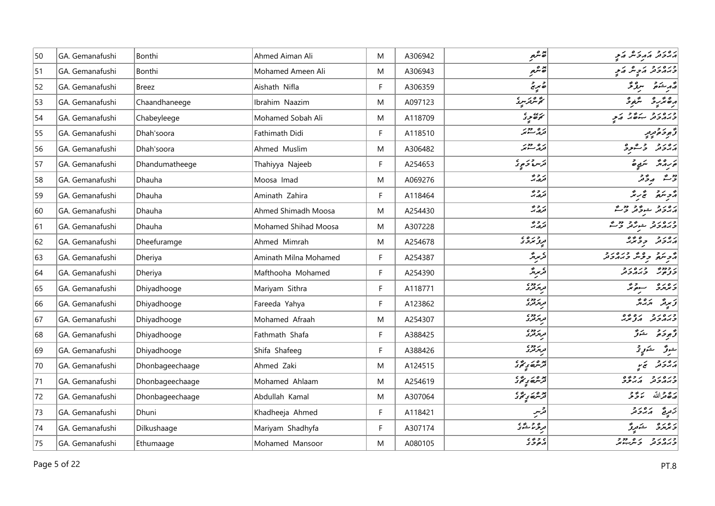| 50 | GA. Gemanafushi | Bonthi          | Ahmed Aiman Ali       | M  | A306942 | بر ه<br>ص <sup>مر</sup> ه                                          | أرور ومركبه وكمي                                         |
|----|-----------------|-----------------|-----------------------|----|---------|--------------------------------------------------------------------|----------------------------------------------------------|
| 51 | GA. Gemanafushi | Bonthi          | Mohamed Ameen Ali     | M  | A306943 | لقدمو                                                              | כנסגב הכתב הב                                            |
| 52 | GA. Gemanafushi | <b>Breez</b>    | Aishath Nifla         | F  | A306359 | و موبح<br>حويد                                                     | ۇرىشقى سروڭ                                              |
| 53 | GA. Gemanafushi | Chaandhaneege   | Ibrahim Naazim        | Μ  | A097123 | ۇ ھ <sub>ە</sub> ترىپ <sub>ى</sub>                                 | وەتمەر ئىنجۇ                                             |
| 54 | GA. Gemanafushi | Chabeyleege     | Mohamed Sobah Ali     | M  | A118709 | ری د ؟<br>کوه د پر                                                 |                                                          |
| 55 | GA. Gemanafushi | Dhah'soora      | Fathimath Didi        | F  | A118510 | ر ہ دور<br>تدرگر سوئیں                                             | ۇ بەر ئەتەرىر                                            |
| 56 | GA. Gemanafushi | Dhah'soora      | Ahmed Muslim          | M  | A306482 | ر ە دور<br>تىرەر سىيمىر                                            | 7072 2707                                                |
| 57 | GA. Gemanafushi | Dhandumatheege  | Thahiyya Najeeb       | F  | A254653 | ترسر و څرمو ځ                                                      |                                                          |
| 58 | GA. Gemanafushi | Dhauha          | Moosa Imad            | M  | A069276 | ر و پ<br>ترور                                                      | $3^{2}$<br>$3^{2}$ $3^{2}$ $3^{2}$                       |
| 59 | GA. Gemanafushi | Dhauha          | Aminath Zahira        | F  | A118464 | ر و بر<br>تر پر                                                    | أأروسكم المحمر بمر                                       |
| 60 | GA. Gemanafushi | Dhauha          | Ahmed Shimadh Moosa   | M  | A254430 | ترویز                                                              | ره رو <sub>شو</sub> ور ورم<br>مدونر <sub>شو</sub> ونر وم |
| 61 | GA. Gemanafushi | Dhauha          | Mohamed Shihad Moosa  | M  | A307228 | ر و پر<br>توپر بر                                                  | ورەرو جەرى دەن                                           |
| 62 | GA. Gemanafushi | Dheefuramge     | Ahmed Mimrah          | M  | A254678 | <br>  تړنو ترو تر                                                  | أرور و و ده                                              |
| 63 | GA. Gemanafushi | Dheriya         | Aminath Milna Mohamed | F  | A254387 | ى<br>قرىر پر                                                       | מ גבן כם בגבוב<br>גביעת בבית במגבת                       |
| 64 | GA. Gemanafushi | Dheriya         | Mafthooha Mohamed     | F  | A254390 | قرىرىژ                                                             | נ כממ - כנסנב<br>כנתל - כגולט                            |
| 65 | GA. Gemanafushi | Dhiyadhooge     | Mariyam Sithra        | F  | A118771 | ر دو ء<br>تر پر تر <sub>ک</sub>                                    | سىدە ئەتە<br>  ئە ئەرە                                   |
| 66 | GA. Gemanafushi | Dhiyadhooge     | Fareeda Yahya         | F. | A123862 | ر دو ء<br>تر پر تر <sub>ک</sub>                                    | توسیقر امریکار                                           |
| 67 | GA. Gemanafushi | Dhiyadhooge     | Mohamed Afraah        | Μ  | A254307 | ر دو ء<br>تر پر تر <sub>ک</sub>                                    | כנסנכ נספס<br><i>כג</i> ובט ו <i>בצי</i> ב               |
| 68 | GA. Gemanafushi | Dhiyadhooge     | Fathmath Shafa        | F  | A388425 | و دود و<br>مرتز ود                                                 | توجوحو شترتم                                             |
| 69 | GA. Gemanafushi | Dhiyadhooge     | Shifa Shafeeg         | F  | A388426 | تودوری                                                             | ڪرڙ ۽ ڪري تي                                             |
| 70 | GA. Gemanafushi | Dhonbageechaage | Ahmed Zaki            | M  | A124515 | بر <i>و پر پرځ</i>                                                 |                                                          |
| 71 | GA. Gemanafushi | Dhonbageechaage | Mohamed Ahlaam        | M  | A254619 | پر ۵ <sub>۵۵۵ ک</sub> ږي<br>تر <sub>نګر</sub> و <sub>نو کو</sub> ر | כנסני ניפס<br>כגמכת הגיב                                 |
| 72 | GA. Gemanafushi | Dhonbageechaage | Abdullah Kamal        | M  | A307064 | بره <i>چې پوځ</i>                                                  | رە قراللە ئەۋقر                                          |
| 73 | GA. Gemanafushi | Dhuni           | Khadheeja Ahmed       | F. | A118421 | قرسر                                                               | كزمرة كالمرور و                                          |
| 74 | GA. Gemanafushi | Dilkushaage     | Mariyam Shadhyfa      | F. | A307174 | ىر ۋ چ شەي                                                         | رەرە شەيرۇ                                               |
| 75 | GA. Gemanafushi | Ethumaage       | Mohamed Mansoor       | Μ  | A080105 | ن و دی<br>مرحوک                                                    | ورەرو رەپچە<br><i>פەم</i> ەدىر كەشبەتر                   |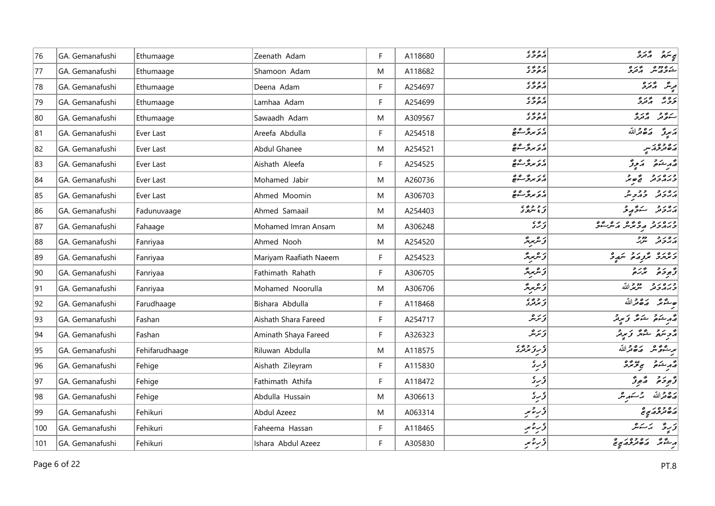| 76           | GA. Gemanafushi | Ethumaage      | Zeenath Adam           | F         | A118680 | <br>  د ه د د د               | يې سرچر د محرکز                                                                                                                                 |
|--------------|-----------------|----------------|------------------------|-----------|---------|-------------------------------|-------------------------------------------------------------------------------------------------------------------------------------------------|
| 77           | GA. Gemanafushi | Ethumaage      | Shamoon Adam           | M         | A118682 | ن و د د<br>مرحو د             | ر و دو و در و<br>شو <del>ر</del> پس مرتزح                                                                                                       |
| 78           | GA. Gemanafushi | Ethumaage      | Deena Adam             | F         | A254697 | ن و د د<br>مرحو د             | مریگر   <sub>م</sub> گ <i>رد</i> ه                                                                                                              |
| 79           | GA. Gemanafushi | Ethumaage      | Lamhaa Adam            | F         | A254699 | ن و د د<br>پره و د            | پره پر په پره                                                                                                                                   |
| 80           | GA. Gemanafushi | Ethumaage      | Sawaadh Adam           | ${\sf M}$ | A309567 | <br>  پره و د                 | ر دور وره                                                                                                                                       |
| 81           | GA. Gemanafushi | Ever Last      | Areefa Abdulla         | F         | A254518 | ى ئەسرىۋىسى<br>مەمۇرىسى       | ەھىراللە<br>  پرسپوتر                                                                                                                           |
| 82           | GA. Gemanafushi | Ever Last      | Abdul Ghanee           | M         | A254521 | پر <sub>تر م</sub> حرک م      | ره وه د سر<br>مەھىر برىش                                                                                                                        |
| 83           | GA. Gemanafushi | Ever Last      | Aishath Aleefa         | F         | A254525 | ى ئەرگەر <i>2</i> ° ھ         | أمار منكاتهم أوالمحياتي                                                                                                                         |
| 84           | GA. Gemanafushi | Ever Last      | Mohamed Jabir          | ${\sf M}$ | A260736 | ى بە بەرگە ھ<br>مەن ئەرگە سىز | כנסנכ בסיל                                                                                                                                      |
| 85           | GA. Gemanafushi | Ever Last      | Ahmed Moomin           | M         | A306703 | ى بەر بۇر 20<br>مەكەبىر ئۇسسو | גפינ כרכת                                                                                                                                       |
| 86           | GA. Gemanafushi | Fadunuvaage    | Ahmed Samaail          | M         | A254403 | ر د د » ،<br>تر ، سره د       | رەرد سەۋرىتى                                                                                                                                    |
| 87           | GA. Gemanafushi | Fahaage        | Mohamed Imran Ansam    | M         | A306248 | ۇرى                           | 2010 - 2010 - 2010 - 2010 - 20<br>2010 - 2010 - 2010 - 2010 - 2010 - 2010 - 2010 - 2010 - 2010 - 2010 - 2010 - 2010 - 2010 - 2010 - 2010 - 2010 |
| 88           | GA. Gemanafushi | Fanriyaa       | Ahmed Nooh             | M         | A254520 | زیربرگر                       | ر ہ ر د دور<br>גر د تر سر                                                                                                                       |
| 89           | GA. Gemanafushi | Fanriyaa       | Mariyam Raafiath Naeem | F         | A254523 | ئۇنترىبىرىگە                  | د وره د بر د منه د                                                                                                                              |
| $ 90\rangle$ | GA. Gemanafushi | Fanriyaa       | Fathimath Rahath       | F         | A306705 | ۇمىزىد                        | أوجوحه بمرد                                                                                                                                     |
| 91           | GA. Gemanafushi | Fanriyaa       | Mohamed Noorulla       | ${\sf M}$ | A306706 | ۇمىزىد                        | وبرەر دوچرالله                                                                                                                                  |
| 92           | GA. Gemanafushi | Farudhaage     | Bishara Abdulla        | F         | A118468 | ر و ر د<br>و برترد            | حشقتم وكافترالله                                                                                                                                |
| 93           | GA. Gemanafushi | Fashan         | Aishath Shara Fareed   | F         | A254717 | ۇئرىش                         | و ديده شکړ و بده.<br>د رشکي شکړ و بده                                                                                                           |
| 94           | GA. Gemanafushi | Fashan         | Aminath Shaya Fareed   | F         | A326323 | ۇترىش                         | مەمەمە ئەمەر ئەرەر                                                                                                                              |
| 95           | GA. Gemanafushi | Fehifarudhaage | Riluwan Abdulla        | ${\sf M}$ | A118575 | ا در در دره در در با<br>ا     | مرجوعه ركاة الله                                                                                                                                |
| 96           | GA. Gemanafushi | Fehige         | Aishath Zileyram       | F         | A115830 | ې ر <sup>ي</sup><br>تر بر     | أشهر شئوه بمحرمرد                                                                                                                               |
| 97           | GA. Gemanafushi | Fehige         | Fathimath Athifa       | F         | A118472 | ې<br>توريخ                    | والمحافظ المتعجز                                                                                                                                |
| 98           | GA. Gemanafushi | Fehige         | Abdulla Hussain        | ${\sf M}$ | A306613 | ې<br>توري                     | رە قراللە جىسكەب                                                                                                                                |
| 99           | GA. Gemanafushi | Fehikuri       | Abdul Azeez            | M         | A063314 | ې ريږ<br>فرسونتون             | ره وه ر<br>مەھەر <i>چى</i>                                                                                                                      |
| 100          | GA. Gemanafushi | Fehikuri       | Faheema Hassan         | F         | A118465 | د رياسته<br>مرس               | ۇرۇ يەشق                                                                                                                                        |
| 101          | GA. Gemanafushi | Fehikuri       | Ishara Abdul Azeez     | F         | A305830 | ۇرىۋىر                        | a contra contra                                                                                                                                 |
|              |                 |                |                        |           |         |                               |                                                                                                                                                 |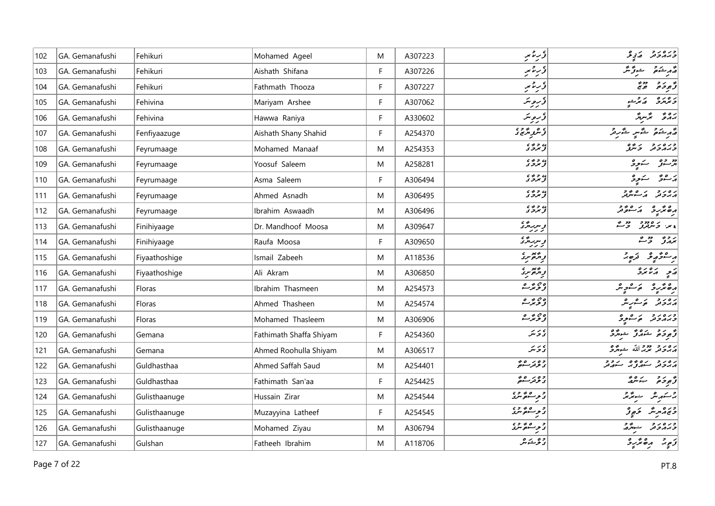| 102 | GA. Gemanafushi | Fehikuri      | Mohamed Ageel           | M  | A307223 | ۇرى <i>قى</i> ر                      | دره رو په کړې کله                                                   |
|-----|-----------------|---------------|-------------------------|----|---------|--------------------------------------|---------------------------------------------------------------------|
| 103 | GA. Gemanafushi | Fehikuri      | Aishath Shifana         | F  | A307226 | ۇرىئابىر                             | أقهر مشكاة المستوقية                                                |
| 104 | GA. Gemanafushi | Fehikuri      | Fathmath Thooza         | F. | A307227 | ۇرى <sup>ق</sup> بىر                 | ود بح<br>جو ج<br>ا تو بر در<br>ا                                    |
| 105 | GA. Gemanafushi | Fehivina      | Mariyam Arshee          | F  | A307062 | ۇروپر                                | ر ه ره در در د                                                      |
| 106 | GA. Gemanafushi | Fehivina      | Hawwa Raniya            | F  | A330602 | ۇروپر                                | رە ئەرگە                                                            |
| 107 | GA. Gemanafushi | Fenfiyaazuge  | Aishath Shany Shahid    | F  | A254370 | ، هروژه د                            | أقهر مشكرة المشرور مشرورة                                           |
| 108 | GA. Gemanafushi | Feyrumaage    | Mohamed Manaaf          | M  | A254353 | در و در د<br>تو بورس                 | ورەر دىر دە                                                         |
| 109 | GA. Gemanafushi | Feyrumaage    | Yoosuf Saleem           | M  | A258281 | ده و د »<br>توسرو د                  | در ده کرد د                                                         |
| 110 | GA. Gemanafushi | Feyrumaage    | Asma Saleem             | F. | A306494 | د، و و ،<br>توسرو د                  | ړ ه پخ سنږد                                                         |
| 111 | GA. Gemanafushi | Feyrumaage    | Ahmed Asnadh            | M  | A306495 | در و در د<br>تو بورس ی               | رەرد رەپر                                                           |
| 112 | GA. Gemanafushi | Feyrumaage    | Ibrahim Aswaadh         | M  | A306496 | د، و و ،<br>تو برو د                 | مەھەر بەر مەدە                                                      |
| 113 | GA. Gemanafushi | Finihiyaage   | Dr. Mandhoof Moosa      | M  | A309647 | و سربر پر د<br>تر سربر پر            | ، پر دورو دور                                                       |
| 114 | GA. Gemanafushi | Finihiyaage   | Raufa Moosa             | F  | A309650 | و سربر پر پر<br>تر تر تر پر          | بروی ووٹ                                                            |
| 115 | GA. Gemanafushi | Fiyaathoshige | Ismail Zabeeh           | Μ  | A118536 | و پر پر پر<br>تر مربو سر پر          | أراعتم ويحسن فكرجاجه                                                |
| 116 | GA. Gemanafushi | Fiyaathoshige | Ali Akram               | M  | A306850 | و پر پر ۽<br>پر مربوبر               | $\begin{array}{cc} 0 & 0 & 0 \\ 0 & 0 & 0 \\ 0 & 0 & 0 \end{array}$ |
| 117 | GA. Gemanafushi | Floras        | Ibrahim Thasmeen        | M  | A254573 | ە <i>مى پىر</i> ھ                    | مەھرىرى بىر شور                                                     |
| 118 | GA. Gemanafushi | <b>Floras</b> | Ahmed Thasheen          | M  | A254574 | ە <i>بىر شە</i>                      | رەرو برەپ                                                           |
| 119 | GA. Gemanafushi | Floras        | Mohamed Thasleem        | M  | A306906 | ە <i>? بۇ</i> رم                     | ورەرو رەرو                                                          |
| 120 | GA. Gemanafushi | Gemana        | Fathimath Shaffa Shiyam | F. | A254360 | ەرىر<br>ئەخ ئىر                      | توجوحو شهرتى شيروه                                                  |
| 121 | GA. Gemanafushi | Gemana        | Ahmed Roohulla Shiyam   | M  | A306517 | <sup>ى ر</sup> بىر                   | بره بر و دوچهالله شورگردی                                           |
| 122 | GA. Gemanafushi | Guldhasthaa   | Ahmed Saffah Saud       | M  | A254401 | وه بر ۵ پر<br>پ <sup>ح</sup> فرتس مر | גם גם גם מם גבב<br>גגבת התצג התת                                    |
| 123 | GA. Gemanafushi | Guldhasthaa   | Fathimath San'aa        | F  | A254425 | وه بر ۵ پر<br>پی توتر شد <i>ه</i>    | وتجوده سنعمد                                                        |
| 124 | GA. Gemanafushi | Gulisthaanuge | Hussain Zirar           | M  | A254544 | جمعہ صحیحۃ<br>  جمعہ صحیحۃ           | چە سەمەھەر سىزىمىتى ئىس                                             |
| 125 | GA. Gemanafushi | Gulisthaanuge | Muzayyina Latheef       | F. | A254545 | د و سره په دې                        | ديم مرمر ځېږو                                                       |
| 126 | GA. Gemanafushi | Gulisthaanuge | Mohamed Ziyau           | Μ  | A306794 | د په موسوي<br>  د پور موسوي          | و ر ه ر د<br>تر بر بر تر<br>سندوجر                                  |
| 127 | GA. Gemanafushi | Gulshan       | Fatheeh Ibrahim         | M  | A118706 | د ويدي پر                            | تومي مقترع                                                          |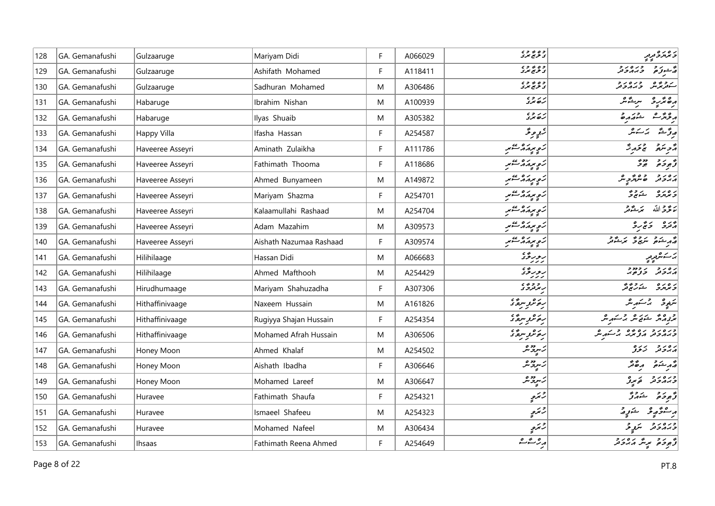| 128 | GA. Gemanafushi | Gulzaaruge       | Mariyam Didi            | F  | A066029 | و ه پر و و<br>د نومځ مرد                                                           | ر ه ر ه پر پر<br>د بربرد تو تو              |
|-----|-----------------|------------------|-------------------------|----|---------|------------------------------------------------------------------------------------|---------------------------------------------|
| 129 | GA. Gemanafushi | Gulzaaruge       | Ashifath Mohamed        | F  | A118411 | و ه پر و ،<br>د نومځ مود                                                           | و در دره دره<br>وگشونو د برمان              |
| 130 | GA. Gemanafushi | Gulzaaruge       | Sadhuran Mohamed        | M  | A306486 | و ه پر و ،<br>د نومځ مرد                                                           | ر و په وره رو<br>سوټرس ورمارونو             |
| 131 | GA. Gemanafushi | Habaruge         | Ibrahim Nishan          | M  | A100939 | ر ر د ه<br>ره بر د                                                                 | ەر ھەترىر <i>3</i><br>سرىشەشر               |
| 132 | GA. Gemanafushi | Habaruge         | Ilyas Shuaib            | M  | A305382 | ر ر و ،<br>رَ@ىرى                                                                  | و د در د در د                               |
| 133 | GA. Gemanafushi | Happy Villa      | Ifasha Hassan           | F. | A254587 | رڻج و گر                                                                           | مەرىسى ئەسكىر                               |
| 134 | GA. Gemanafushi | Haveeree Asseyri | Aminath Zulaikha        | F  | A111786 | رَ <sub>ءٍ م</sub> ِردَ <sub>م</sub> ُر <sup>م</sup> و ي <sub>َن</sub> مبر         | أأوبته وتحدثه                               |
| 135 | GA. Gemanafushi | Haveeree Asseyri | Fathimath Thooma        | F. | A118686 | ئە <sub>ھ بىر</sub> ىدە مەسىر                                                      | توجوحه ودي                                  |
| 136 | GA. Gemanafushi | Haveeree Asseyri | Ahmed Bunyameen         | M  | A149872 | ئە <sub>ھە</sub> پىرە مەھمىيە<br>مە                                                | ره دو ده ده م                               |
| 137 | GA. Gemanafushi | Haveeree Asseyri | Mariyam Shazma          | F  | A254701 | رَه بِرِرَرْ مُشَمّرِ                                                              | ره ره<br>تر پرسرتر مشوی <mark>ح</mark>      |
| 138 | GA. Gemanafushi | Haveeree Asseyri | Kalaamullahi Rashaad    | M  | A254704 | ئە <sub>ھ بىر</sub> ىدە مەسىر                                                      | تذقرة الله تمر يحمر                         |
| 139 | GA. Gemanafushi | Haveeree Asseyri | Adam Mazahim            | M  | A309573 | ائەھ بىرەرە مەر<br>سىق ئىرەرە مەسىر                                                | أثروه ومجرو                                 |
| 140 | GA. Gemanafushi | Haveeree Asseyri | Aishath Nazumaa Rashaad | F  | A309574 | ئە <sub>ھ بىر</sub> ىدە ش <sup>ى</sup> مىر                                         | وأوحدهم الترج الاحتفار                      |
| 141 | GA. Gemanafushi | Hilihilaage      | Hassan Didi             | M  | A066683 | ر و ر و <sup>ه</sup><br>ر د ر                                                      | ئەسە ئىرىدىر<br>ئ                           |
| 142 | GA. Gemanafushi | Hilihilaage      | Ahmed Mafthooh          | M  | A254429 | ر و ر ۇ ؟<br>بر بر                                                                 | נים ביניים ביניים<br>הגבה בניםג             |
| 143 | GA. Gemanafushi | Hirudhumaage     | Mariyam Shahuzadha      | F  | A307306 | ر و و د ،<br>ر بوترو <sub>ک</sub>                                                  | ر ه ر ه<br><del>د</del> بربرگ<br>شەرىجە تىر |
| 144 | GA. Gemanafushi | Hithaffinivaage  | Naxeem Hussain          | M  | A161826 | رىمۇر بىر <i>مۇ</i> ئ                                                              | لتكفي فالمتكرمين                            |
| 145 | GA. Gemanafushi | Hithaffinivaage  | Rugiyya Shajan Hussain  | F  | A254354 | رە ئرو بىرۇ ئى                                                                     | جرى مەسىم ئەسكى بر ئىسكىر بىر               |
| 146 | GA. Gemanafushi | Hithaffinivaage  | Mohamed Afrah Hussain   | M  | A306506 | رە ئ <sub>ىر ب</sub> ورى<br>بەھ ئىرىس ئى                                           | ورەرو رەپوە جەشرىر                          |
| 147 | GA. Gemanafushi | Honey Moon       | Ahmed Khalaf            | M  | A254502 | ئە بىر 3 مىر<br>ئە                                                                 | پره رو بر رو                                |
| 148 | GA. Gemanafushi | Honey Moon       | Aishath Ibadha          | F  | A306646 | ئە بىر 3 مىر<br>ئە                                                                 | وكريشكم وكافر                               |
| 149 | GA. Gemanafushi | Honey Moon       | Mohamed Lareef          | M  | A306647 | ئە بىر 3 مىر<br>ئە                                                                 | ورەر دىرە                                   |
| 150 | GA. Gemanafushi | Huravee          | Fathimath Shaufa        | F. | A254321 | شرتمو                                                                              | توجوجو الشمرقر                              |
| 151 | GA. Gemanafushi | Huravee          | Ismaeel Shafeeu         | M  | A254323 | 2 تىرى                                                                             | ر شر <i>ۇ يۇ شۇر</i> ۇ                      |
| 152 | GA. Gemanafushi | Huravee          | Mohamed Nafeel          | M  | A306434 | رحمزي                                                                              | <i>درورو مرتم</i>                           |
| 153 | GA. Gemanafushi | <b>lhsaas</b>    | Fathimath Reena Ahmed   | F  | A254649 | $\overline{\mathcal{L}^{\mathcal{L}}\mathcal{L}^{\mathcal{G}}_{\mathcal{A}}}\vert$ | تح و د د په پره د د د                       |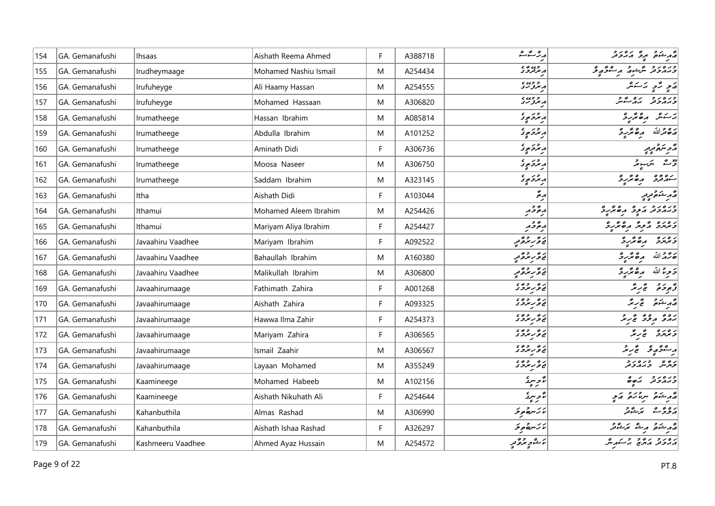| 154 | GA. Gemanafushi | lhsaas            | Aishath Reema Ahmed   | F         | A388718 | <br>  پر <sup>م</sup> ر شر م           | م المستوفر المركب المركب والمر                                                                                                                                                                     |
|-----|-----------------|-------------------|-----------------------|-----------|---------|----------------------------------------|----------------------------------------------------------------------------------------------------------------------------------------------------------------------------------------------------|
| 155 | GA. Gemanafushi | Irudheymaage      | Mohamed Nashiu Ismail | M         | A254434 |                                        | כנים בר וליינה הייכתיב                                                                                                                                                                             |
| 156 | GA. Gemanafushi | Irufuheyge        | Ali Haamy Hassan      | M         | A254555 | پر بوده په<br>  پر بور ژ               | أريموا المحمور الكاسكر                                                                                                                                                                             |
| 157 | GA. Gemanafushi | Irufuheyge        | Mohamed Hassaan       | M         | A306820 | <br>  مرگورئ                           | ورەرو رەپ ش                                                                                                                                                                                        |
| 158 | GA. Gemanafushi | Irumatheege       | Hassan Ibrahim        | ${\sf M}$ | A085814 | <br> پرېژد ځو د                        | برسك مقتررة                                                                                                                                                                                        |
| 159 | GA. Gemanafushi | Irumatheege       | Abdulla Ibrahim       | M         | A101252 | وېږېږي                                 | رە قىراللە مەھمگىرى                                                                                                                                                                                |
| 160 | GA. Gemanafushi | Irumatheege       | Aminath Didi          | F         | A306736 | ېر بر دې<br>بر بر دې د                 | ا پژ <sub>خر میکنم</sub> ورور<br>ا                                                                                                                                                                 |
| 161 | GA. Gemanafushi | Irumatheege       | Moosa Naseer          | M         | A306750 | د بر در ه<br>د بر د هو د               | در میں مرکز کے مقدم کر اس کے مقدم کر اس کے مقدم کر اس کے مقدم کر کے لیے جاتی ہے۔<br>مقدم کر مقدم کے مقدم کے مقدم کر اس کے مقدم کر مقدم کر کے مقدم کر کے مقدم کر کر کر کر کر کر کر کر کر کر کر کر ک |
| 162 | GA. Gemanafushi | Irumatheege       | Saddam Ibrahim        | ${\sf M}$ | A323145 | <br> پرېژد ځو د                        | ر ه و ه<br>سوټرنر<br>ەرھ ئرىر ۋ                                                                                                                                                                    |
| 163 | GA. Gemanafushi | Itha              | Aishath Didi          | F         | A103044 | ەرىئى                                  | ر<br>د کمر شکوه تورتور                                                                                                                                                                             |
| 164 | GA. Gemanafushi | Ithamui           | Mohamed Aleem Ibrahim | M         | A254426 | برځ څه                                 | כנסגב גם הסתיב                                                                                                                                                                                     |
| 165 | GA. Gemanafushi | Ithamui           | Mariyam Aliya Ibrahim | F         | A254427 | برځ څهر                                | במתב הציה תפתיב                                                                                                                                                                                    |
| 166 | GA. Gemanafushi | Javaahiru Vaadhee | Mariyam Ibrahim       | F         | A092522 | <br>  ئ قرىر ترقر م <sub>ى</sub>       | ەھ ئرىرى<br>ر ەر ە                                                                                                                                                                                 |
| 167 | GA. Gemanafushi | Javaahiru Vaadhee | Bahaullah Ibrahim     | M         | A160380 | ئەقەر بىرقەمەر                         | ە ھەترىر <sup>ە</sup><br>يحرقه اللّه                                                                                                                                                               |
| 168 | GA. Gemanafushi | Javaahiru Vaadhee | Malikullah Ibrahim    | M         | A306800 | ر گرېر گرو<br>د کرېمرگ <sup>و</sup> کړ | وە ئۆرۈ<br> ترمريم الله                                                                                                                                                                            |
| 169 | GA. Gemanafushi | Javaahirumaage    | Fathimath Zahira      | F         | A001268 | پر ځېږ چې په<br>  پنج ځې چر چې چې      | توجوخو تجربته                                                                                                                                                                                      |
| 170 | GA. Gemanafushi | Javaahirumaage    | Aishath Zahira        | F         | A093325 | روپە دەپ                               | أقرمر شكوم تجربتمر                                                                                                                                                                                 |
| 171 | GA. Gemanafushi | Javaahirumaage    | Hawwa Ilma Zahir      | F         | A254373 | ریم روی ،<br>  بی قر برقر <sub>ک</sub> | $\frac{2}{3}$ $\frac{2}{3}$ $\frac{2}{3}$ $\frac{2}{3}$ $\frac{2}{3}$                                                                                                                              |
| 172 | GA. Gemanafushi | Javaahirumaage    | Mariyam Zahira        | F         | A306565 | ر پر پر پر پر<br>محمد سرچ <sub>ک</sub> | ر ه ر ه<br><del>د</del> بربرد<br>پچ پر پټر                                                                                                                                                         |
| 173 | GA. Gemanafushi | Javaahirumaage    | Ismail Zaahir         | M         | A306567 | ر پر پر پر پر<br>نے برگر پر پر پ       | وستوصفه والمحاربة                                                                                                                                                                                  |
| 174 | GA. Gemanafushi | Javaahirumaage    | Layaan Mohamed        | M         | A355249 | پر ځېږ چې په<br>  پنج ځې چر چې چې      | د و دره دو                                                                                                                                                                                         |
| 175 | GA. Gemanafushi | Kaamineege        | Mohamed Habeeb        | M         | A102156 | مڈحہ سر <sup>ی</sup><br>م              | 001 21012                                                                                                                                                                                          |
| 176 | GA. Gemanafushi | Kaamineege        | Aishath Nikuhath Ali  | F         | A254644 | م <sup>م</sup> َّ حرسي ج               | ومستوفي سرمانا فأوجبه                                                                                                                                                                              |
| 177 | GA. Gemanafushi | Kahanbuthila      | Almas Rashad          | ${\sf M}$ | A306990 | برئه سرة مركز                          | رەۋب پرېژ                                                                                                                                                                                          |
| 178 | GA. Gemanafushi | Kahanbuthila      | Aishath Ishaa Rashad  | F         | A326297 | ئەئەسھەم ئە                            | مەر شىم ئەر سىگە ئىر شىرى                                                                                                                                                                          |
| 179 | GA. Gemanafushi | Kashmeeru Vaadhee | Ahmed Ayaz Hussain    | M         | A254572 | ئەشقۇ برۇنىر                           | גפני גובר הביתית                                                                                                                                                                                   |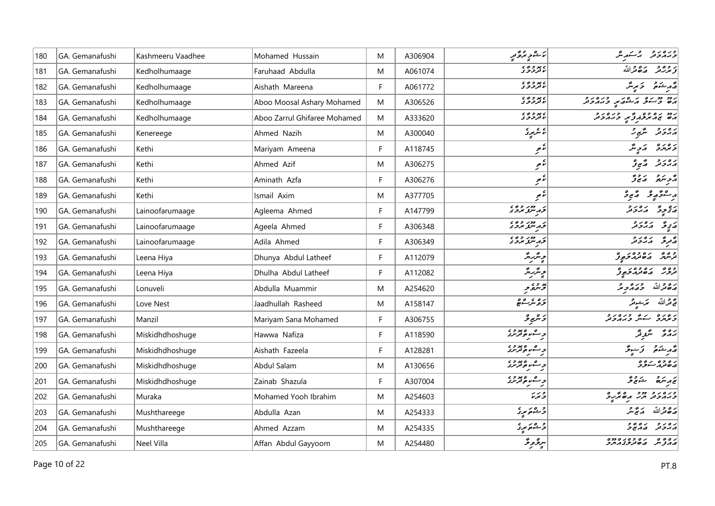| 180 | GA. Gemanafushi | Kashmeeru Vaadhee | Mohamed Hussain              | M           | A306904 | ئەشقىر برۇ تېر                        | ورەرو روسهر                                            |
|-----|-----------------|-------------------|------------------------------|-------------|---------|---------------------------------------|--------------------------------------------------------|
| 181 | GA. Gemanafushi | Kedholhumaage     | Faruhaad Abdulla             | M           | A061074 | ړ پر و بو ړ<br>ما فرغرنو ک            | و ووو ده درالله                                        |
| 182 | GA. Gemanafushi | Kedholhumaage     | Aishath Mareena              | F           | A061772 | ړ پر د بر ړ<br>ما تعریل تر ت          | أورشوه ومرتكز                                          |
| 183 | GA. Gemanafushi | Kedholhumaage     | Aboo Moosal Ashary Mohamed   | M           | A306526 | ړ پر د بر ړ<br>ما تعریل تر ت          | נור ורגם גם גבור כגוברי                                |
| 184 | GA. Gemanafushi | Kedholhumaage     | Aboo Zarrul Ghifaree Mohamed | M           | A333620 | ) مو و پر م<br>ما تعری بی             | מי גם כם פי כגובת<br>  גם הוא בוקציק כגובת             |
| 185 | GA. Gemanafushi | Kenereege         | Ahmed Nazih                  | M           | A300040 | ى ئەرىپە ئ                            | أرور و سره بر                                          |
| 186 | GA. Gemanafushi | Kethi             | Mariyam Ameena               | F           | A118745 | ء<br>موھجہ                            | د ۱۵۷۵ کمرچنگر                                         |
| 187 | GA. Gemanafushi | Kethi             | Ahmed Azif                   | M           | A306275 | ء<br>موھ                              | رەر ئەر                                                |
| 188 | GA. Gemanafushi | Kethi             | Aminath Azfa                 | F           | A306276 | ء<br>موھ                              | أزويته المنحق                                          |
| 189 | GA. Gemanafushi | Kethi             | Ismail Axim                  | M           | A377705 | ء<br>مومج                             | وستوصفه ومجود                                          |
| 190 | GA. Gemanafushi | Lainoofarumaage   | Agleema Ahmed                | F           | A147799 | ى پەر دەپرى<br>ئىمەسىرىسى ئ           | پره بورگ<br>بر ٥ پر و<br>م <i>ر</i> بر <del>و</del> تر |
| 191 | GA. Gemanafushi | Lainoofarumaage   | Ageela Ahmed                 | $\mathsf F$ | A306348 | ى پەر دەپرى<br>خىر سرىمىزى            | كەنچ قر كەردىر                                         |
| 192 | GA. Gemanafushi | Lainoofarumaage   | Adila Ahmed                  | F           | A306349 | ى پەر دەپرى<br>ئىمەسىرىسى ئ           | ړ پرې د پر د د                                         |
| 193 | GA. Gemanafushi | Leena Hiya        | Dhunya Abdul Latheef         | F           | A112079 | ىيە ئىزىرى <i>د</i> ۇ                 | و و پر دو وو په و<br>ترس پر ماندېر <del>تر</del> جو تر |
| 194 | GA. Gemanafushi | Leena Hiya        | Dhulha Abdul Latheef         | $\mathsf F$ | A112082 | وپتزریز                               | وە ئەھەمدىن ۋ                                          |
| 195 | GA. Gemanafushi | Lonuveli          | Abdulla Muammir              | M           | A254620 | بددء                                  | أروح الله وبروجر                                       |
| 196 | GA. Gemanafushi | Love Nest         | Jaadhullah Rasheed           | M           | A158147 | ر ە ، رە ە<br>مەركىب                  | قَوْمَرْاللّه مَرَسْوِمْر                              |
| 197 | GA. Gemanafushi | Manzil            | Mariyam Sana Mohamed         | F           | A306755 | 5 ئىرى پى                             | رەرە بەي درەرد                                         |
| 198 | GA. Gemanafushi | Miskidhdhoshuge   | Hawwa Nafiza                 | $\mathsf F$ | A118590 | د مهم ه پر د ،<br>بر سوم تر پر د      | برەپچ<br>سُمَعِ فَدَّ                                  |
| 199 | GA. Gemanafushi | Miskidhdhoshuge   | Aishath Fazeela              | F           | A128281 | د صوره ده ده.<br>د سوره تریرد         | ەربىق ئەيدۇ                                            |
| 200 | GA. Gemanafushi | Miskidhdhoshuge   | Abdul Salam                  | M           | A130656 | و ره په وده<br>تر سور ورس             | ر ه و ه ر ر وه<br>پرې تر پر سونونې                     |
| 201 | GA. Gemanafushi | Miskidhdhoshuge   | Zainab Shazula               | F           | A307004 | د صدره و <del>بدوء</del><br>سرم فرمزد | ىم سىھ شىمى ئى                                         |
| 202 | GA. Gemanafushi | Muraka            | Mohamed Yooh Ibrahim         | M           | A254603 | ويرر                                  | כנסנב חדר חם מנב                                       |
| 203 | GA. Gemanafushi | Mushthareege      | Abdulla Azan                 | M           | A254333 | ر مشور <i>مړ</i> ی<br>مشور مړي        | مَصْحَدَاللّهُ مَتَّمَّتَرَ                            |
| 204 | GA. Gemanafushi | Mushthareege      | Ahmed Azzam                  | M           | A254335 | و شوېر په<br>د شوې پېړۍ               | גם גם גם בב<br>הגבת ההבב                               |
| 205 | GA. Gemanafushi | Neel Villa        | Affan Abdul Gayyoom          | M           | A254480 | ىردگە ئۇ                              | ره په مره ده بره دده<br>همرنی مره مرمزنی مرمر          |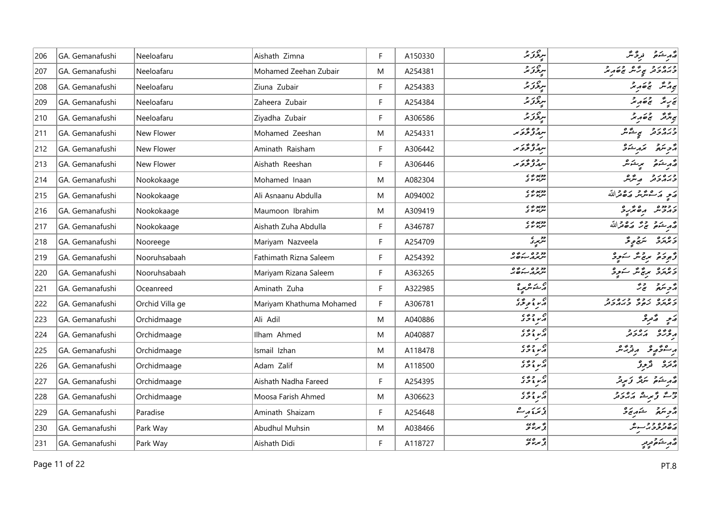| 206 | GA. Gemanafushi | Neeloafaru      | Aishath Zimna            | F  | A150330 | سرچونر چه                          | وكهر مشكاته ويرونكر                                    |
|-----|-----------------|-----------------|--------------------------|----|---------|------------------------------------|--------------------------------------------------------|
| 207 | GA. Gemanafushi | Neeloafaru      | Mohamed Zeehan Zubair    | M  | A254381 | سرچونه<br>پېرخونه                  | כנסגב ביליל בני ב                                      |
| 208 | GA. Gemanafushi | Neeloafaru      | Ziuna Zubair             | F  | A254383 | سرچونه                             | $\begin{bmatrix} 2 & 2 & 2 \\ 2 & 2 & 2 \end{bmatrix}$ |
| 209 | GA. Gemanafushi | Neeloafaru      | Zaheera Zubair           | F  | A254384 | سرچونه                             | $\begin{bmatrix} 2 & 2 & 3 \\ 2 & 2 & 3 \end{bmatrix}$ |
| 210 | GA. Gemanafushi | Neeloafaru      | Ziyadha Zubair           | F  | A306586 | سرچونر چه                          | پروگر ہے تھ ہر تر                                      |
| 211 | GA. Gemanafushi | New Flower      | Mohamed Zeeshan          | M  | A254331 | سرچ و محرکے سر                     | ورەرو بېشگىر                                           |
| 212 | GA. Gemanafushi | New Flower      | Aminath Raisham          | F  | A306442 | سرد و پژند                         | أأترجع بمراعك                                          |
| 213 | GA. Gemanafushi | New Flower      | Aishath Reeshan          | F  | A306446 | سرد و ځړې پر                       | أقهر شوقه المرتشونكر                                   |
| 214 | GA. Gemanafushi | Nookokaage      | Mohamed Inaan            | M  | A082304 | وویو پر پر<br>سربر رکھ ت           | ورەر د پرس                                             |
| 215 | GA. Gemanafushi | Nookokaage      | Ali Asnaanu Abdulla      | M  | A094002 | وویر پر ے<br>سربر بر <sub>ک</sub>  | أرجع مركب من معاهدالله                                 |
| 216 | GA. Gemanafushi | Nookokaage      | Maumoon Ibrahim          | M  | A309419 | وویر بر بر<br>سربر بر <sub>ک</sub> | בגבים גם בביב                                          |
| 217 | GA. Gemanafushi | Nookokaage      | Aishath Zuha Abdulla     | F. | A346787 | وویو پر پر<br>سربر رکھ ت           | قمر شوم تم ته مكان الله                                |
| 218 | GA. Gemanafushi | Nooreege        | Mariyam Nazveela         | F  | A254709 | يژېږي                              | رەرە شىروگە                                            |
| 219 | GA. Gemanafushi | Nooruhsabaah    | Fathimath Rizna Saleem   | F  | A254392 | دد و ه بر ده ه<br>سرپور ښونځه      | أزُودَة برة يرُ سَوِدْ                                 |
| 220 | GA. Gemanafushi | Nooruhsabaah    | Mariyam Rizana Saleem    | F  | A363265 | دد ده د پره<br>سربر د شون پر       | دېمرمرق برغ بنګر سکوچو                                 |
| 221 | GA. Gemanafushi | Oceanreed       | Aminath Zuha             | F  | A322985 | رمستوسر مرید می                    | أرمح سنتجرج المحارثة                                   |
| 222 | GA. Gemanafushi | Orchid Villa ge | Mariyam Khathuma Mohamed | F. | A306781 | ېم د ځمو څونه<br>مړينې مرغۍ        | נסנס נכש כנסנכ<br>כמחב לקב במחבת                       |
| 223 | GA. Gemanafushi | Orchidmaage     | Ali Adil                 | M  | A040886 |                                    | پَن په په په په په په په                               |
| 224 | GA. Gemanafushi | Orchidmaage     | Ilham Ahmed              | M  | A040887 |                                    | پر 2 پر 5<br>ەربەر                                     |
| 225 | GA. Gemanafushi | Orchidmaage     | Ismail Izhan             | M  | A118478 |                                    | و جاھڙھ ھو ھو گھر                                      |
| 226 | GA. Gemanafushi | Orchidmaage     | Adam Zalif               | M  | A118500 | 0.<br> پرس و و ی                   | وره وتحرو                                              |
| 227 | GA. Gemanafushi | Orchidmaage     | Aishath Nadha Fareed     | F  | A254395 |                                    | ە ئەشكە ئىقى كەيدى                                     |
| 228 | GA. Gemanafushi | Orchidmaage     | Moosa Farish Ahmed       | M  | A306623 | م د د د ،<br>مرد د د د<br>╭        | وحث وٌ برے مندوبر                                      |
| 229 | GA. Gemanafushi | Paradise        | Aminath Shaizam          | F  | A254648 | ې ئېرې مرگ<br>برگو ئومړن           | أروسكم فسكري                                           |
| 230 | GA. Gemanafushi | Park Way        | <b>Abudhul Muhsin</b>    | M  | A038466 | یو ره در<br>بو مورا حر             | ره وه وو<br>پره تربو تر سوس                            |
| 231 | GA. Gemanafushi | Park Way        | Aishath Didi             | F  | A118727 | ه وه بن<br>تو بورا و               | وگهرڪو <i>گورور</i><br>م                               |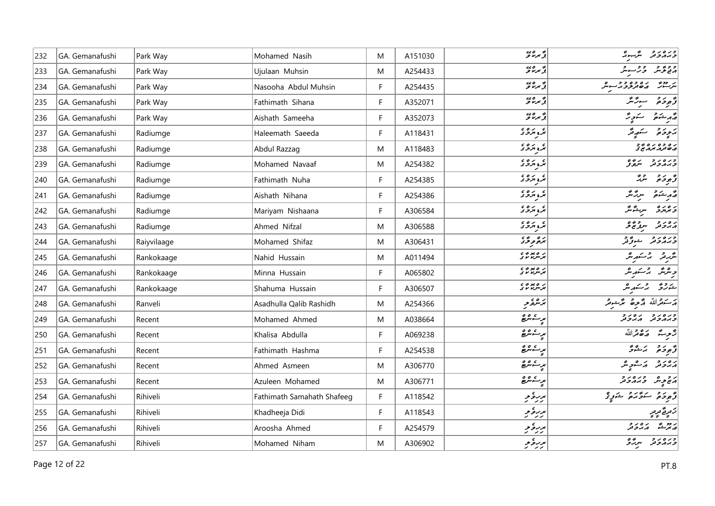| 232 | GA. Gemanafushi | Park Way    | Mohamed Nasih              | M         | A151030 | یو ره در<br>بو مورا حر         | ورەرو شەر                                             |
|-----|-----------------|-------------|----------------------------|-----------|---------|--------------------------------|-------------------------------------------------------|
| 233 | GA. Gemanafushi | Park Way    | Ujulaan Muhsin             | M         | A254433 | یژ سره ۵۵<br>بوگسمر <i>مل</i>  | ە دەر ئەربىر                                          |
| 234 | GA. Gemanafushi | Park Way    | Nasooha Abdul Muhsin       | F         | A254435 | یژ سره ۵۵<br>بو سرما حر        | ر دوه در ده وه ووليسوش<br>سرسور اړه تر بور سوش        |
| 235 | GA. Gemanafushi | Park Way    | Fathimath Sihana           | F         | A352071 | یژ سره ۵۵<br>بو سرما حر        | ۇي <sub>و</sub> دۇ سېرتىگە                            |
| 236 | GA. Gemanafushi | Park Way    | Aishath Sameeha            | F         | A352073 | ءِ سره ۾<br>ارگيمبرم حر        | د من د سنور من                                        |
| 237 | GA. Gemanafushi | Radiumge    | Haleemath Saeeda           | F         | A118431 | ه<br>مرو مرد د                 | رَ پِرِ پِرِ کَمَ پِرِ پُرِ                           |
| 238 | GA. Gemanafushi | Radiumge    | Abdul Razzag               | M         | A118483 | 59/22                          | ر ٥ ر ٥ ر ٥ ر <u>٥</u><br>۵ ر ۱ ر مرد م               |
| 239 | GA. Gemanafushi | Radiumge    | Mohamed Navaaf             | M         | A254382 | ې ده ې<br>مروکون               | وره روم<br><i>دېدو</i> تر سرونې                       |
| 240 | GA. Gemanafushi | Radiumge    | Fathimath Nuha             | F         | A254385 | ې پره و<br>مرغ پرون            | توجوحو مترثه                                          |
| 241 | GA. Gemanafushi | Radiumge    | Aishath Nihana             | F         | A254386 | بموبره بي                      | ۇرىشۇ سرگىگە                                          |
| 242 | GA. Gemanafushi | Radiumge    | Mariyam Nishaana           | F         | A306584 | ړ ده ده<br>مرغ درو د           | ر ہ ر ہ<br>تر <del>ب</del> ر بر<br>سرىشەتگر           |
| 243 | GA. Gemanafushi | Radiumge    | Ahmed Nifzal               | M         | A306588 | ړ ده ده<br>مرغ درو د           | برەرو سروپى                                           |
| 244 | GA. Gemanafushi | Raiyvilaage | Mohamed Shifaz             | M         | A306431 | ر ه<br>برگوموڅر                | ورەرو جوگۈر                                           |
| 245 | GA. Gemanafushi | Rankokaage  | Nahid Hussain              | ${\sf M}$ | A011494 | ر ەيدىر<br>برس ما <sub>ك</sub> | لترباني الراشير لترامل                                |
| 246 | GA. Gemanafushi | Rankokaage  | Minna Hussain              | F         | A065802 | ر ەيرىپ<br>بىرس ما ي           | ویریٹر برے ہر                                         |
| 247 | GA. Gemanafushi | Rankokaage  | Shahuma Hussain            | F         | A306507 | ر ٥ پر دي<br>برس د د ک         | ينورو بالتمهر                                         |
| 248 | GA. Gemanafushi | Ranveli     | Asadhulla Qalib Rashidh    | M         | A254366 | بجرنثرغرمر                     | وَسَعَقَرَاللَّهُ وَتَرَمَّعُ مَّرْسُوقَرّ            |
| 249 | GA. Gemanafushi | Recent      | Mohamed Ahmed              | M         | A038664 | لبرية مرده                     | כנסנכ נסנכ<br>כגמכ <mark>ט מ</mark> גכ <mark>ט</mark> |
| 250 | GA. Gemanafushi | Recent      | Khalisa Abdulla            | F         | A069238 | ىر سەمەھ<br>ئ                  | أَتَّحْرِبَّةُ وَتَقْوَاللَّهُ                        |
| 251 | GA. Gemanafushi | Recent      | Fathimath Hashma           | F         | A254538 | ابرية مثيقي                    | توجد بمشرقه                                           |
| 252 | GA. Gemanafushi | Recent      | Ahmed Asmeen               | M         | A306770 | لبريدهم                        | גפנק ג' פית                                           |
| 253 | GA. Gemanafushi | Recent      | Azuleen Mohamed            | M         | A306771 | لبريدهم                        | הוב ביו היה היה בית<br>  הוב ביו היה בית בית          |
| 254 | GA. Gemanafushi | Rihiveli    | Fathimath Samahath Shafeeg | F         | A118542 | بررء<br>مرگو                   | و دو دورو خوړو                                        |
| 255 | GA. Gemanafushi | Rihiveli    | Khadheeja Didi             | F         | A118543 | بررء<br>مرگو                   | ئر تورنگ <sup>3</sup> تو تو<br>س                      |
| 256 | GA. Gemanafushi | Rihiveli    | Aroosha Ahmed              | F         | A254579 | بررؤو                          | د دورو در در د                                        |
| 257 | GA. Gemanafushi | Rihiveli    | Mohamed Niham              | ${\sf M}$ | A306902 | ىررى<br>ئرىر ئىر               | ورەر دەر بەر                                          |
|     |                 |             |                            |           |         |                                |                                                       |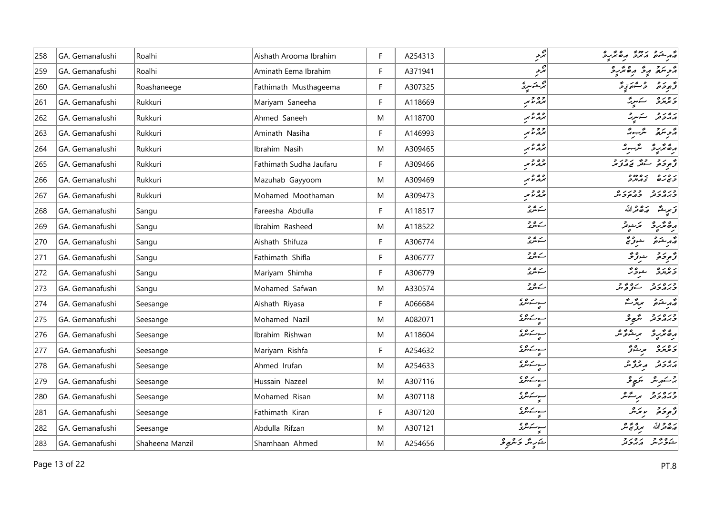| 258 | GA. Gemanafushi | Roalhi          | Aishath Arooma Ibrahim  | F         | A254313 | ص<br>معرمہ                        | התשים גדוד תסתיכ                          |
|-----|-----------------|-----------------|-------------------------|-----------|---------|-----------------------------------|-------------------------------------------|
| 259 | GA. Gemanafushi | Roalhi          | Aminath Eema Ibrahim    | F         | A371941 | اهوم                              | הכיתה הכ" הסתיב                           |
| 260 | GA. Gemanafushi | Roashaneege     | Fathimath Musthageema   | F         | A307325 | لتجريئه يبرع                      | د صمر پيځ تر<br>ۇ ب <sub>و</sub> ر د      |
| 261 | GA. Gemanafushi | Rukkuri         | Mariyam Saneeha         | F         | A118669 | وه و<br>موړيم مو                  | ر ه ر ه<br><del>و</del> بربرو<br>سەمىرىر  |
| 262 | GA. Gemanafushi | Rukkuri         | Ahmed Saneeh            | ${\sf M}$ | A118700 | وه و<br>  برو بر س                | سە سەرر<br>ر ەر د                         |
| 263 | GA. Gemanafushi | Rukkuri         | Aminath Nasiha          | F         | A146993 | ابتده تنمبر                       | أزوينده الترسية                           |
| 264 | GA. Gemanafushi | Rukkuri         | Ibrahim Nasih           | ${\sf M}$ | A309465 | برە ئەبىر                         | رەنزىر ئىسىر                              |
| 265 | GA. Gemanafushi | Rukkuri         | Fathimath Sudha Jaufaru | F         | A309466 | وه و<br>مرد با مر                 | و د د د د د د د                           |
| 266 | GA. Gemanafushi | Rukkuri         | Mazuhab Gayyoom         | ${\sf M}$ | A309469 | وه و<br>برد بر بر                 | נ כני כי ניסיד<br>ביבי הברית              |
| 267 | GA. Gemanafushi | Rukkuri         | Mohamed Moothaman       | M         | A309473 | وه و<br>مرد تا مړ                 | כנסנכ ככננס<br>כגתכת כתיבכית              |
| 268 | GA. Gemanafushi | Sangu           | Fareesha Abdulla        | F         | A118517 | یە ھەمىيە                         | كرسيشة كدع قرالله                         |
| 269 | GA. Gemanafushi | Sangu           | Ibrahim Rasheed         | ${\sf M}$ | A118522 | سەھەير                            | رەترىرو ترىنوتر                           |
| 270 | GA. Gemanafushi | Sangu           | Aishath Shifuza         | F         | A306774 | سەھەر                             |                                           |
| 271 | GA. Gemanafushi | Sangu           | Fathimath Shifla        | F         | A306777 | یە ھەمىيە                         | ژ <sub>بوڅم</sub> خرژڅ                    |
| 272 | GA. Gemanafushi | Sangu           | Mariyam Shimha          | F         | A306779 | یە ھەمىيە                         | ر ه ر ه<br>د بربرد<br>شەۋر                |
| 273 | GA. Gemanafushi | Sangu           | Mohamed Safwan          | ${\sf M}$ | A330574 | سەھەير                            | سەۋ ئەشر<br>و ره ر د<br><i>و بر</i> د تر  |
| 274 | GA. Gemanafushi | Seesange        | Aishath Riyasa          | F         | A066684 | ا په په ده چې په                  | أقرم شوقر مرتزعة                          |
| 275 | GA. Gemanafushi | Seesange        | Mohamed Nazil           | M         | A082071 | بەيە ئەھەم<br>سوس <b>ى</b> ئەمىرى | و ر ه ر و<br>تر پر ژ تر<br>ىئىچ بۇ        |
| 276 | GA. Gemanafushi | Seesange        | Ibrahim Rishwan         | ${\sf M}$ | A118604 | اب مەنتەتلىكى<br>پە               | ىر بەشرەڭ بىر<br>ەر ھەتتەر 2<br>ر         |
| 277 | GA. Gemanafushi | Seesange        | Mariyam Rishfa          | F         | A254632 | اب مەئىدى<br>پە                   | ر ہ ر ہ<br>تر <del>ب</del> ر بر<br>ىرىشىۋ |
| 278 | GA. Gemanafushi | Seesange        | Ahmed Irufan            | ${\sf M}$ | A254633 | اب مەنتەپلىرى<br>ئ                | رەرد مەدىر                                |
| 279 | GA. Gemanafushi | Seesange        | Hussain Nazeel          | M         | A307116 | سەسىرە                            | 2-1 مر شري عربي محر                       |
| 280 | GA. Gemanafushi | Seesange        | Mohamed Risan           | ${\sf M}$ | A307118 | بەيە ئەھەم<br>سوس <b>ى</b> ئەمىرى | ورەرو برگەر                               |
| 281 | GA. Gemanafushi | Seesange        | Fathimath Kiran         | F         | A307120 | اسەسەھدىيە<br>پە                  | قهوخرقه الراعك                            |
| 282 | GA. Gemanafushi | Seesange        | Abdulla Rifzan          | M         | A307121 | ليوسكىنى                          | ەھىراللە<br>ىر ۋېچ بىر                    |
| 283 | GA. Gemanafushi | Shaheena Manzil | Shamhaan Ahmed          | M         | A254656 | ڪرپنگ وکري و                      | شور مده ده در د                           |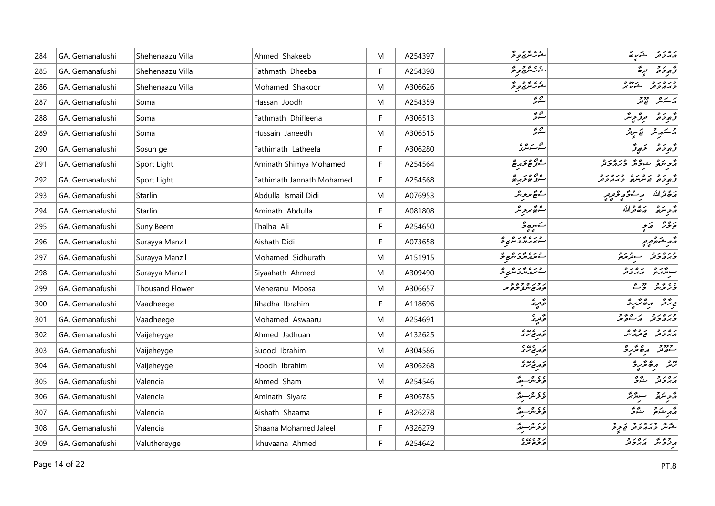| 284 | GA. Gemanafushi | Shehenaazu Villa       | Ahmed Shakeeb             | Μ  | A254397 | <br> شورىترى ھوقى                       | پر ژوئر<br>شەرە                         |
|-----|-----------------|------------------------|---------------------------|----|---------|-----------------------------------------|-----------------------------------------|
| 285 | GA. Gemanafushi | Shehenaazu Villa       | Fathmath Dheeba           | F  | A254398 | <sub>ش</sub> ەر ئەترىم <sub>جو</sub> ئۇ | و مرد<br>اقرام در م                     |
| 286 | GA. Gemanafushi | Shehenaazu Villa       | Mohamed Shakoor           | M  | A306626 | دىم تەرىپى ھەرىگە                       | و ر ه ر د<br>تر پر ژنر<br>شەدىقى بىر    |
| 287 | GA. Gemanafushi | Soma                   | Hassan Joodh              | Μ  | A254359 | حيز                                     | ير کے مگر مقام کر                       |
| 288 | GA. Gemanafushi | Soma                   | Fathmath Dhifleena        | F  | A306513 | حيز                                     | أراوحا والمتحفظ والمحمد                 |
| 289 | GA. Gemanafushi | Soma                   | Hussain Janeedh           | Μ  | A306515 | يحيحه                                   | يرتسكمر شدي المحاسر وتر                 |
| 290 | GA. Gemanafushi | Sosun ge               | Fathimath Latheefa        | F  | A306280 | <u>مریم کره ی</u>                       | قَهِ وَمَعْ لَمَ حَمِيونَ               |
| 291 | GA. Gemanafushi | Sport Light            | Aminath Shimya Mohamed    | F  | A254564 | ه <i>می ه د</i> ر ه                     | הקייטה ביכול כמהכת                      |
| 292 | GA. Gemanafushi | Sport Light            | Fathimath Jannath Mohamed | F  | A254568 | ە <i>مى ھەتە</i> ھ                      | ه د د د ه د د د د د د د<br>ژبوده نماسرس |
| 293 | GA. Gemanafushi | Starlin                | Abdulla Ismail Didi       | Μ  | A076953 | <u>شوءَ <sub>مرمر</sub> ب</u> ر         | رە داللە بەر مۇھەر بويدىر               |
| 294 | GA. Gemanafushi | Starlin                | Aminath Abdulla           | F  | A081808 | 2 <sub>ڠ</sub> برىرىگە                  | ەھ قراللە<br>أرمز بنرو                  |
| 295 | GA. Gemanafushi | Suny Beem              | Thalha Ali                | F  | A254650 | سەس <sub>ى</sub> ھۇ                     | پروژ پر پر                              |
| 296 | GA. Gemanafushi | Surayya Manzil         | Aishath Didi              | F  | A073658 | د ره ور ه<br>- په هر د شري څ            | ر<br>د کمړ څوکمو تو تو                  |
| 297 | GA. Gemanafushi | Surayya Manzil         | Mohamed Sidhurath         | M  | A151915 | - د ره و ر ه<br>سن <i>مه د د چ</i> شريح | و ر ه ر د<br>تر پر ژ تر<br>سەتىر بىر 2  |
| 298 | GA. Gemanafushi | Surayya Manzil         | Siyaahath Ahmed           | M  | A309490 | و بره و بر ه<br>سوپر در د سرچ څر        | پرور و<br>ر پر د<br>سوہر ہی             |
| 299 | GA. Gemanafushi | <b>Thousand Flower</b> | Meheranu Moosa            | Μ  | A306657 | ر و ر ه و و و.<br>ح در بع مرتمر څرنگ    |                                         |
| 300 | GA. Gemanafushi | Vaadheege              | Jihadha Ibrahim           | F  | A118696 | ۇ<br>ق <sub>ەلت</sub> ىر                | وبرقر المقتربرة                         |
| 301 | GA. Gemanafushi | Vaadheege              | Mohamed Aswaaru           | M  | A254691 | ۇ<br>قرىمى                              | و ر ه ر د<br>تر پر ژ تر<br>ېر ۵۵ تر     |
| 302 | GA. Gemanafushi | Vaijeheyge             | Ahmed Jadhuan             | M  | A132625 | $rac{1}{55}$                            | رەرد رومار<br>مەركىر ئ <i>ۆت</i> رمەش   |
| 303 | GA. Gemanafushi | Vaijeheyge             | Suood Ibrahim             | M  | A304586 | ر<br>تو در ج ر د                        | مەھمەرد<br>و دو و<br>سوړنو              |
| 304 | GA. Gemanafushi | Vaijeheyge             | Hoodh Ibrahim             | M  | A306268 | ر<br>تو در ج ر د                        | دو مەئرىرى                              |
| 305 | GA. Gemanafushi | Valencia               | Ahmed Sham                | M  | A254546 | ئۇ ئەشرىيە ئە                           | ر ه ر د<br>م.رو تر<br>ستذو              |
| 306 | GA. Gemanafushi | Valencia               | Aminath Siyara            | F. | A306785 | ، ، ه رسه په                            | سىدە ئە<br>أرمز تمر                     |
| 307 | GA. Gemanafushi | Valencia               | Aishath Shaama            | F. | A326278 | ، ، ه رسه په                            | مەر ئىكى ئىگە                           |
| 308 | GA. Gemanafushi | Valencia               | Shaana Mohamed Jaleel     | F  | A326279 | <sup>ج ج</sup> و بڑر۔<br>حرف سرگر       | شهر دره رد و در                         |
| 309 | GA. Gemanafushi | Valuthereyge           | Ikhuvaana Ahmed           | F  | A254642 | ر و ، <u>،</u> ، ،<br>حرمو بو د         | مەز ئەھمەر مەردىر                       |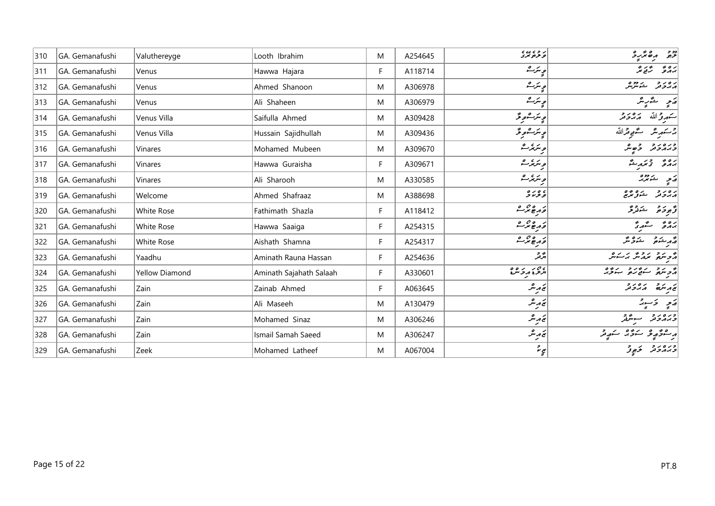| 310 | GA. Gemanafushi | Valuthereyge          | Looth Ibrahim           | M | A254645 | ر و ، د، ،<br>حرمو بو د                | أودو مصريرة                                       |
|-----|-----------------|-----------------------|-------------------------|---|---------|----------------------------------------|---------------------------------------------------|
| 311 | GA. Gemanafushi | Venus                 | Hawwa Hajara            | F | A118714 | ءِ سَرَتْ                              | پره پچ<br>ر پخ تئر                                |
| 312 | GA. Gemanafushi | Venus                 | Ahmed Shanoon           | M | A306978 | ءِ سَرَتْہ                             | پر ژبر ژ<br>شەھرىگر                               |
| 313 | GA. Gemanafushi | Venus                 | Ali Shaheen             | M | A306979 | ءِ سَرَتْہ                             | أركمو التشريثر                                    |
| 314 | GA. Gemanafushi | Venus Villa           | Saifulla Ahmed          | M | A309428 | ءِ سَرَڪُ ھ مَحَر                      | ستمهرقر اللّه<br>برورو                            |
| 315 | GA. Gemanafushi | Venus Villa           | Hussain Sajidhullah     | M | A309436 | ا <sub>ھب</sub> ىئر ش <sub>ەھ</sub> مۇ | گويو فرالله<br>جر سەمەر شر                        |
| 316 | GA. Gemanafushi | Vinares               | Mohamed Mubeen          | M | A309670 | ە پىر پۇرىشە                           | وره د ده ش                                        |
| 317 | GA. Gemanafushi | Vinares               | Hawwa Guraisha          | F | A309671 | ریر پڑے                                | پر و بچ<br>تر <i>مرک</i> ر سنگر                   |
| 318 | GA. Gemanafushi | Vinares               | Ali Sharooh             | M | A330585 | ە پىر پۇرىشە                           | أقدم متوجره                                       |
| 319 | GA. Gemanafushi | Welcome               | Ahmed Shafraaz          | M | A388698 | ء ورو                                  | ے دی محرم ہے<br>مشترک <i>و محر</i> ی<br>  پر و تر |
| 320 | GA. Gemanafushi | <b>White Rose</b>     | Fathimath Shazla        | F | A118412 | ا ئەرەپر مى                            | ا توجو څو<br>شەۋرگر                               |
| 321 | GA. Gemanafushi | <b>White Rose</b>     | Hawwa Saaiga            | F | A254315 | ئەرۋىر م                               | رەپچ<br>ستهرئ                                     |
| 322 | GA. Gemanafushi | <b>White Rose</b>     | Aishath Shamna          | F | A254317 | وَرِءِ تَرْتَهُ                        | پھر ڪر ج<br>شەۋىگر                                |
| 323 | GA. Gemanafushi | Yaadhu                | Aminath Rauna Hassan    | F | A254636 | پڑ تر                                  | ۇ يەدە بەدىگە ئەسەھ                               |
| 324 | GA. Gemanafushi | <b>Yellow Diamond</b> | Aminath Sajahath Salaah | F | A330601 | ەم ئەر ئەرە<br>مەم ئەر ئەر             | ر د در د ده ده و<br>ړ د سرچ                       |
| 325 | GA. Gemanafushi | Zain                  | Zainab Ahmed            | F | A063645 | لئےمرىشر                               | تج ג سرچ<br>ەر ئەر تە                             |
| 326 | GA. Gemanafushi | Zain                  | Ali Maseeh              | M | A130479 | ىئەرىتر                                | أەيم وسير                                         |
| 327 | GA. Gemanafushi | Zain                  | Mohamed Sinaz           | M | A306246 | ئم مریشر                               | ورەرو سەشتر                                       |
| 328 | GA. Gemanafushi | Zain                  | Ismail Samah Saeed      | M | A306247 | ىئەرىش                                 | ر ھۇرپۇ سۆزە سەرە                                 |
| 329 | GA. Gemanafushi | Zeek                  | Mohamed Latheef         | M | A067004 | ء<br>پي                                | ورەر دېږ                                          |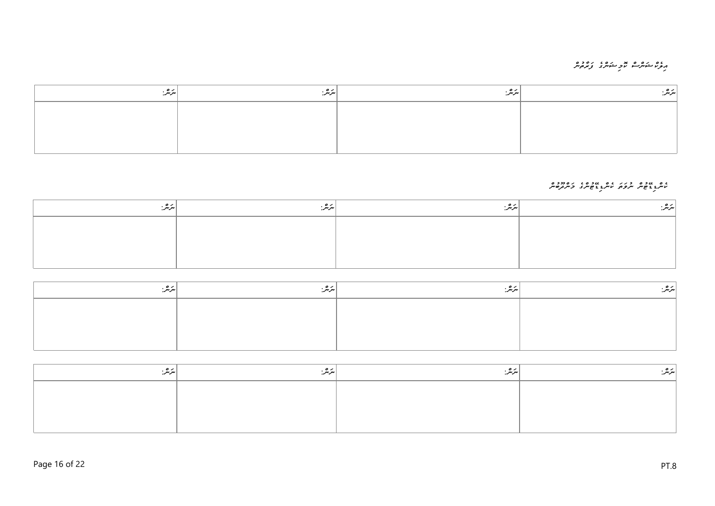## *w7qAn8m?sCw7mRo>u;wEw7mRw;sBo<*

| ' مرمر | 'يئرىثر: |
|--------|----------|
|        |          |
|        |          |
|        |          |

## *w7q9r@w7m>sCw7qHtFoFw7s;mAm=q7w7qHtFoFw7s;*

| ىر تە | $\mathcal{O} \times$<br>$\sim$ | $\sim$<br>. . | لترنثر |
|-------|--------------------------------|---------------|--------|
|       |                                |               |        |
|       |                                |               |        |
|       |                                |               |        |

| انترنثر: | $^{\circ}$ | يبرهر | $^{\circ}$<br>سرسر |
|----------|------------|-------|--------------------|
|          |            |       |                    |
|          |            |       |                    |
|          |            |       |                    |

| ىرتىر: | 。<br>سر سر | .,<br>مرسر |
|--------|------------|------------|
|        |            |            |
|        |            |            |
|        |            |            |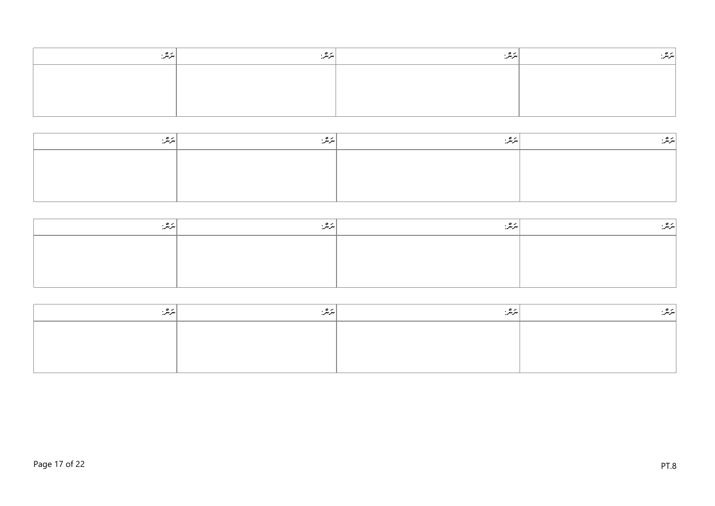| يره. | ο. | ا ير ه |  |
|------|----|--------|--|
|      |    |        |  |
|      |    |        |  |
|      |    |        |  |

| <sup>.</sup> سرسر. |  |
|--------------------|--|
|                    |  |
|                    |  |
|                    |  |

| ىر تە | $\sim$ | ا بر هر: | $^{\circ}$<br>' سرسر. |
|-------|--------|----------|-----------------------|
|       |        |          |                       |
|       |        |          |                       |
|       |        |          |                       |

| 。<br>مرس. | $\overline{\phantom{a}}$<br>مر مىر | يتريثر |
|-----------|------------------------------------|--------|
|           |                                    |        |
|           |                                    |        |
|           |                                    |        |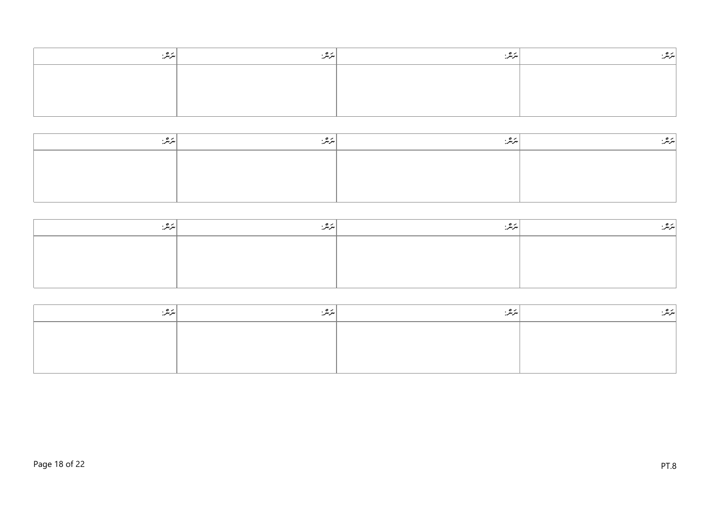| ير هو . | $\overline{\phantom{a}}$ | يرمر | اير هنه. |
|---------|--------------------------|------|----------|
|         |                          |      |          |
|         |                          |      |          |
|         |                          |      |          |

| ىبرىر. | $\sim$<br>ا سرسر . | يئرمثر | o . |
|--------|--------------------|--------|-----|
|        |                    |        |     |
|        |                    |        |     |
|        |                    |        |     |

| نتزيتر به | 。 | 。<br>سرسر. | o <i>~</i> |
|-----------|---|------------|------------|
|           |   |            |            |
|           |   |            |            |
|           |   |            |            |

|  | . ه |
|--|-----|
|  |     |
|  |     |
|  |     |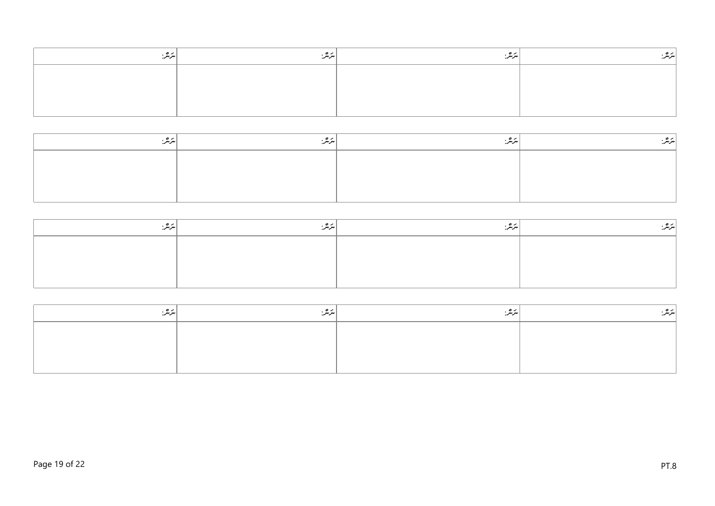| ير هو . | $\overline{\phantom{a}}$ | يرمر | اير هنه. |
|---------|--------------------------|------|----------|
|         |                          |      |          |
|         |                          |      |          |
|         |                          |      |          |

| ئىرتىر: | $\sim$<br>ا سرسر . | يئرمثر | o . |
|---------|--------------------|--------|-----|
|         |                    |        |     |
|         |                    |        |     |
|         |                    |        |     |

| 'تترنثر: | 。<br>,,,, |  |
|----------|-----------|--|
|          |           |  |
|          |           |  |
|          |           |  |

|  | . ه |
|--|-----|
|  |     |
|  |     |
|  |     |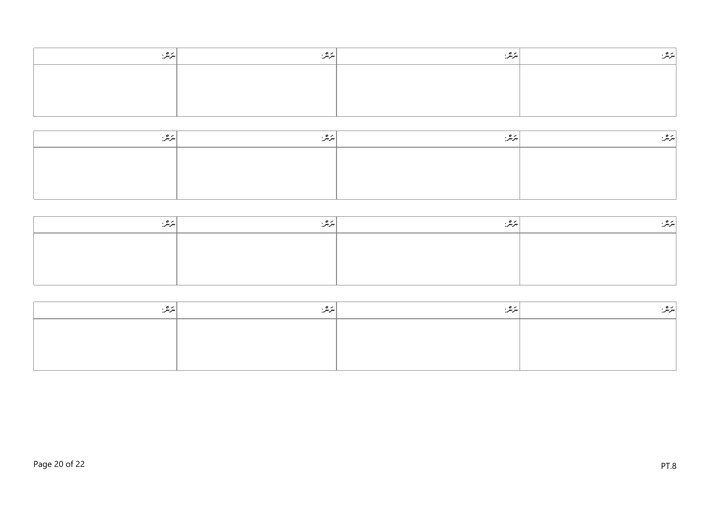| $\cdot$ | ο. | $\frac{\circ}{\cdot}$ | $\sim$<br>سرسر |
|---------|----|-----------------------|----------------|
|         |    |                       |                |
|         |    |                       |                |
|         |    |                       |                |

| ايرعر: | ر ه<br>. . |  |
|--------|------------|--|
|        |            |  |
|        |            |  |
|        |            |  |

| بر ه | 。 | $\sim$<br>َ سومس. |  |
|------|---|-------------------|--|
|      |   |                   |  |
|      |   |                   |  |
|      |   |                   |  |

| 。<br>. س | ىرىىر |  |
|----------|-------|--|
|          |       |  |
|          |       |  |
|          |       |  |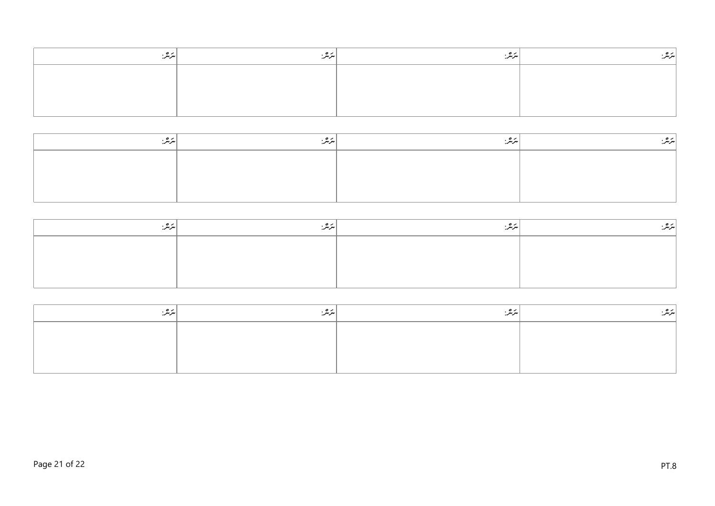| ير هو . | $\overline{\phantom{a}}$ | يرمر | اير هنه. |
|---------|--------------------------|------|----------|
|         |                          |      |          |
|         |                          |      |          |
|         |                          |      |          |

| ئىرتىر: | $\sim$<br>ا سرسر . | يئرمثر | o . |
|---------|--------------------|--------|-----|
|         |                    |        |     |
|         |                    |        |     |
|         |                    |        |     |

| الترنثر: | ' مرتكز: | الترنثر: | .,<br>سرس. |
|----------|----------|----------|------------|
|          |          |          |            |
|          |          |          |            |
|          |          |          |            |

|  | . ه |
|--|-----|
|  |     |
|  |     |
|  |     |